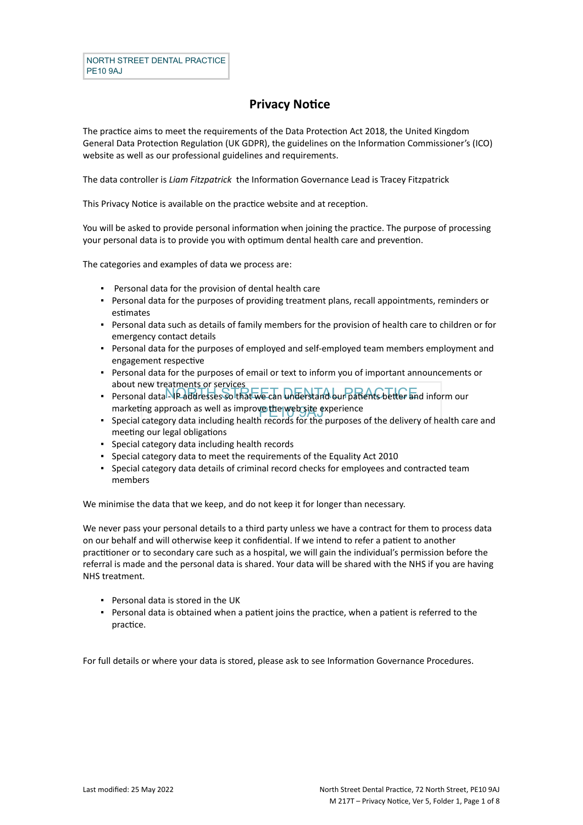## **Privacy Notice**

The practice aims to meet the requirements of the Data Protection Act 2018, the United Kingdom General Data Protection Regulation (UK GDPR), the guidelines on the Information Commissioner's (ICO) website as well as our professional guidelines and requirements.

The data controller is *Liam Fitzpatrick* the Information Governance Lead is Tracey Fitzpatrick

This Privacy Notice is available on the practice website and at reception.

You will be asked to provide personal information when joining the practice. The purpose of processing your personal data is to provide you with optimum dental health care and prevention.

The categories and examples of data we process are:

- Personal data for the provision of dental health care
- Personal data for the purposes of providing treatment plans, recall appointments, reminders or estimates
- Personal data such as details of family members for the provision of health care to children or for emergency contact details
- Personal data for the purposes of employed and self-employed team members employment and engagement respective
- Personal data for the purposes of email or text to inform you of important announcements or about new treatments or services
- Personal data IP addresses so that we can understand our patients better and inform our marketing approach as well as improve the web site experience<br>Special estaceny data including health reports for the nurneces
- Special category data including health records for the purposes of the delivery of health care and meeting our legal obligations
- Special category data including health records
- Special category data to meet the requirements of the Equality Act 2010
- Special category data details of criminal record checks for employees and contracted team members

We minimise the data that we keep, and do not keep it for longer than necessary.

We never pass your personal details to a third party unless we have a contract for them to process data on our behalf and will otherwise keep it confidential. If we intend to refer a patient to another practitioner or to secondary care such as a hospital, we will gain the individual's permission before the referral is made and the personal data is shared. Your data will be shared with the NHS if you are having NHS treatment.

- Personal data is stored in the UK
- Personal data is obtained when a patient joins the practice, when a patient is referred to the practice.

For full details or where your data is stored, please ask to see Information Governance Procedures.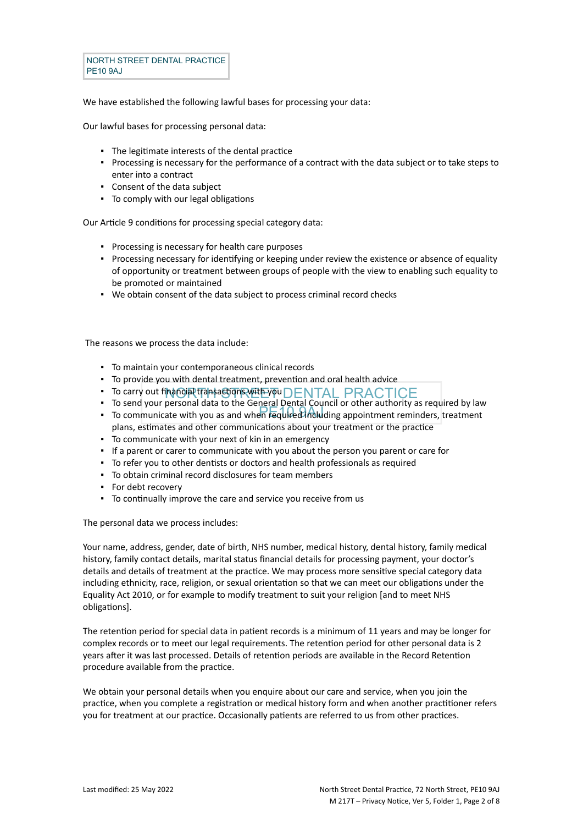NORTH STREET DENTAL PRACTICE PE10 9AJ

We have established the following lawful bases for processing your data:

Our lawful bases for processing personal data:

- The legitimate interests of the dental practice
- Processing is necessary for the performance of a contract with the data subject or to take steps to enter into a contract
- Consent of the data subject
- To comply with our legal obligations

Our Article 9 conditions for processing special category data:

- Processing is necessary for health care purposes
- Processing necessary for identifying or keeping under review the existence or absence of equality of opportunity or treatment between groups of people with the view to enabling such equality to be promoted or maintained
- We obtain consent of the data subject to process criminal record checks

The reasons we process the data include:

- To maintain your contemporaneous clinical records
- To provide you with dental treatment, prevention and oral health advice
- To carry out financial transactions with PORTAL PRACTICE
- To communicate with you as and when required including appointment reminders, treatment ▪ To send your personal data to the General Dental Council or other authority as required by law
- plans, estimates and other communications about your treatment or the practice
- To communicate with your next of kin in an emergency
- If a parent or carer to communicate with you about the person you parent or care for
- To refer you to other dentists or doctors and health professionals as required
- To obtain criminal record disclosures for team members
- For debt recovery
- To continually improve the care and service you receive from us

The personal data we process includes:

Your name, address, gender, date of birth, NHS number, medical history, dental history, family medical history, family contact details, marital status financial details for processing payment, your doctor's details and details of treatment at the practice. We may process more sensitive special category data including ethnicity, race, religion, or sexual orientation so that we can meet our obligations under the Equality Act 2010, or for example to modify treatment to suit your religion [and to meet NHS obligations].

The retention period for special data in patient records is a minimum of 11 years and may be longer for complex records or to meet our legal requirements. The retention period for other personal data is 2 years after it was last processed. Details of retention periods are available in the Record Retention procedure available from the practice.

We obtain your personal details when you enquire about our care and service, when you join the practice, when you complete a registration or medical history form and when another practitioner refers you for treatment at our practice. Occasionally patients are referred to us from other practices.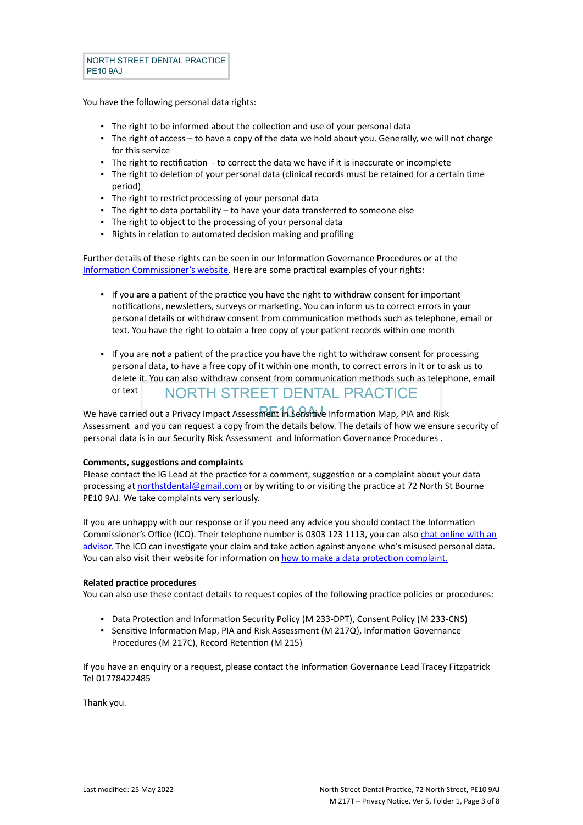You have the following personal data rights:

- **•** The right to be informed about the collection and use of your personal data
- The right of access to have a copy of the data we hold about you. Generally, we will not charge for this service
- The right to rectification to correct the data we have if it is inaccurate or incomplete
- The right to deletion of your personal data (clinical records must be retained for a certain time period)
- The right to restrict processing of your personal data
- The right to data portability to have your data transferred to someone else
- The right to object to the processing of your personal data
- Rights in relation to automated decision making and profiling

Further details of these rights can be seen in our Information Governance Procedures or at the [Information Commissioner's website](https://ico.org.uk/for-organisations/guide-to-the-general-data-protection-regulation-gdpr/individual-rights/). Here are some practical examples of your rights:

- If you **are** a patient of the practice you have the right to withdraw consent for important notifications, newsletters, surveys or marketing. You can inform us to correct errors in your personal details or withdraw consent from communication methods such as telephone, email or text. You have the right to obtain a free copy of your patient records within one month
- NORTH STREET DENTAL PRACTICE ▪ If you are **not** a patient of the practice you have the right to withdraw consent for processing personal data, to have a free copy of it within one month, to correct errors in it or to ask us to delete it. You can also withdraw consent from communication methods such as telephone, email or text

We have carried out a Privacy Impact Assessment in Sensitive Information Map, PIA and Risk Assessment and you can request a copy from the details below. The details of how we ensure security of personal data is in our Security Risk Assessment and Information Governance Procedures .

#### **Comments, suggestions and complaints**

Please contact the IG Lead at the practice for a comment, suggestion or a complaint about your data processing at [northstdental@gmail.com](mailto:northstdental@gmail.com) or by writing to or visiting the practice at 72 North St Bourne PE10 9AJ. We take complaints very seriously.

If you are unhappy with our response or if you need any advice you should contact the Information Commissioner's Office (ICO). Their telephone number is 0303 123 1113, you can also [chat online with an](https://ico.org.uk/global/contact-us/live-chat/) [advisor.](https://ico.org.uk/global/contact-us/live-chat/) The ICO can investigate your claim and take action against anyone who's misused personal data. You can also visit their website for information on [how to make a data protection complaint.](http://www.ico.org.uk/complaints)

#### **Related practice procedures**

You can also use these contact details to request copies of the following practice policies or procedures:

- Data Protection and Information Security Policy (M 233-DPT), Consent Policy (M 233-CNS)
- Sensitive Information Map, PIA and Risk Assessment (M 217Q), Information Governance Procedures (M 217C), Record Retention (M 215)

If you have an enquiry or a request, please contact the Information Governance Lead Tracey Fitzpatrick Tel 01778422485

Thank you.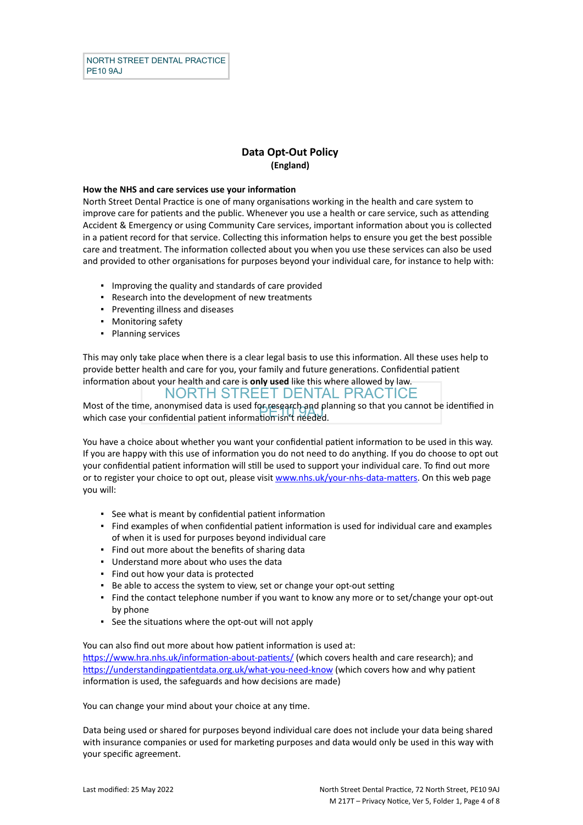### **Data Opt-Out Policy (England)**

#### **How the NHS and care services use your information**

North Street Dental Practice is one of many organisations working in the health and care system to improve care for patients and the public. Whenever you use a health or care service, such as attending Accident & Emergency or using Community Care services, important information about you is collected in a patient record for that service. Collecting this information helps to ensure you get the best possible care and treatment. The information collected about you when you use these services can also be used and provided to other organisations for purposes beyond your individual care, for instance to help with:

- Improving the quality and standards of care provided
- Research into the development of new treatments
- Preventing illness and diseases
- Monitoring safety
- Planning services

This may only take place when there is a clear legal basis to use this information. All these uses help to provide better health and care for you, your family and future generations. Confidential patient information about your health and care is **only used** like this where allowed by law.

NORTH STREET DENTAL PRACTICE

wost of the time, anonymised data is used rospesearch and pr<br>which case your confidential patient information isn't needed. Most of the time, anonymised data is used for research and planning so that you cannot be identified in

You have a choice about whether you want your confidential patient information to be used in this way. If you are happy with this use of information you do not need to do anything. If you do choose to opt out your confidential patient information will still be used to support your individual care. To find out more or to register your choice to opt out, please visit [www.nhs.uk/your-nhs-data-matters](http://www.nhs.uk/your-nhs-data-matters). On this web page you will:

- See what is meant by confidential patient information
- Find examples of when confidential patient information is used for individual care and examples of when it is used for purposes beyond individual care
- Find out more about the benefits of sharing data
- Understand more about who uses the data
- Find out how your data is protected
- Be able to access the system to view, set or change your opt-out setting
- Find the contact telephone number if you want to know any more or to set/change your opt-out by phone
- See the situations where the opt-out will not apply

You can also find out more about how patient information is used at:

[https://www.hra.nhs.uk/information-about-patients/](https://www.hra.nhs.uk/information-about-patients/%20) (which covers health and care research); and <https://understandingpatientdata.org.uk/what-you-need-know> (which covers how and why patient information is used, the safeguards and how decisions are made)

You can change your mind about your choice at any time.

Data being used or shared for purposes beyond individual care does not include your data being shared with insurance companies or used for marketing purposes and data would only be used in this way with your specific agreement.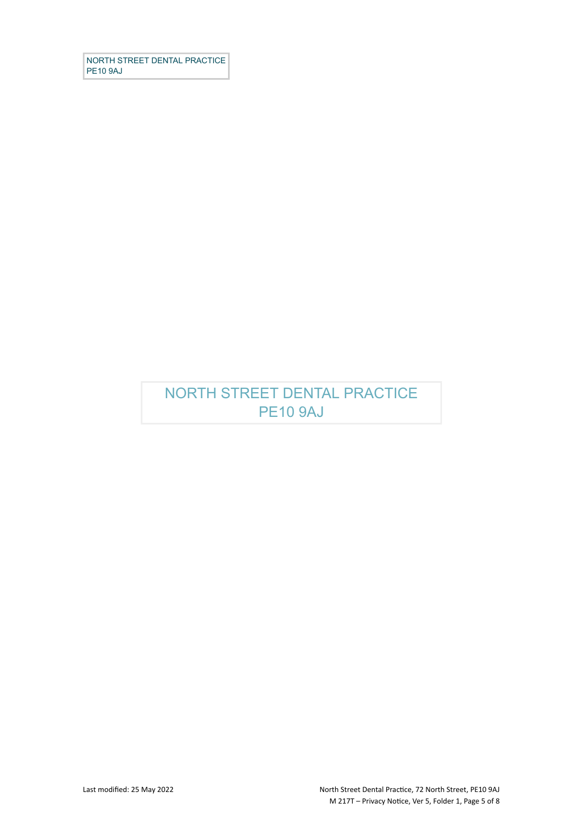NORTH STREET DENTAL PRACTICE PE10 9AJ

# NORTH STREET DENTAL PRACTICE PE10 9AJ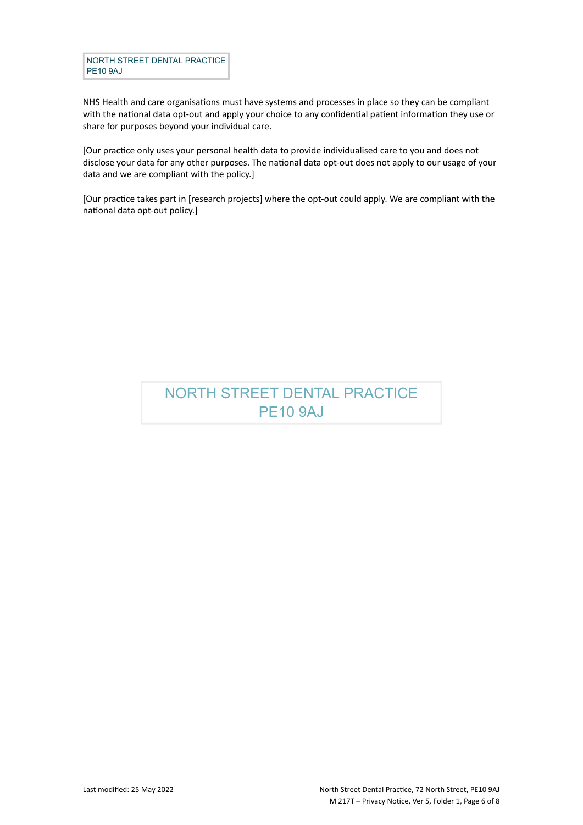NORTH STREET DENTAL PRACTICE PE10 9AJ

NHS Health and care organisations must have systems and processes in place so they can be compliant with the national data opt-out and apply your choice to any confidential patient information they use or share for purposes beyond your individual care.

[Our practice only uses your personal health data to provide individualised care to you and does not disclose your data for any other purposes. The national data opt-out does not apply to our usage of your data and we are compliant with the policy.]

[Our practice takes part in [research projects] where the opt-out could apply. We are compliant with the national data opt-out policy.]

# NORTH STREET DENTAL PRACTICE PE10 9AJ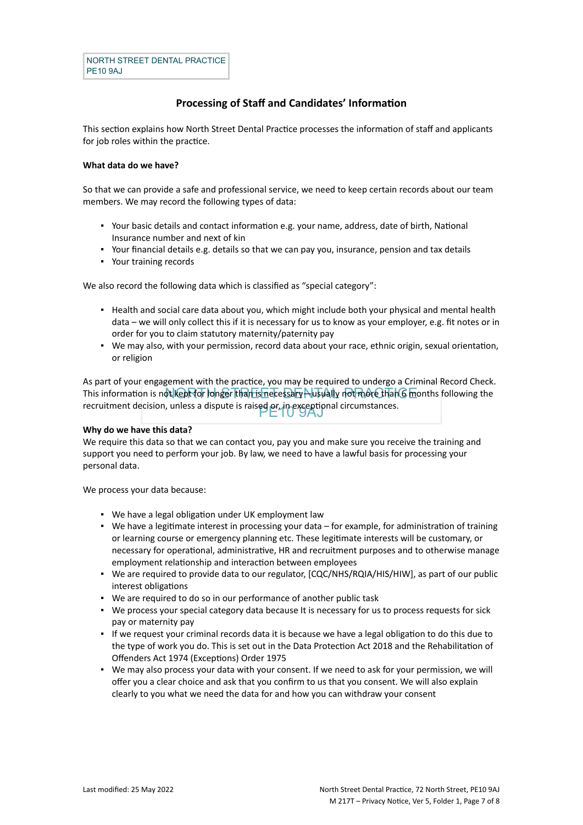### **Processing of Staff and Candidates' Information**

This section explains how North Street Dental Practice processes the information of staff and applicants for job roles within the practice.

#### **What data do we have?**

So that we can provide a safe and professional service, we need to keep certain records about our team members. We may record the following types of data:

- Your basic details and contact information e.g. your name, address, date of birth, National Insurance number and next of kin
- Your financial details e.g. details so that we can pay you, insurance, pension and tax details
- Your training records

We also record the following data which is classified as "special category":

- Health and social care data about you, which might include both your physical and mental health data – we will only collect this if it is necessary for us to know as your employer, e.g. fit notes or in order for you to claim statutory maternity/paternity pay
- We may also, with your permission, record data about your race, ethnic origin, sexual orientation, or religion

This information is not kept for longer than is necessary—usually not more than 6 months following the recruitment decision, unless a dispute is raised or, in exceptional circumstances.<br>  $\Box$ As part of your engagement with the practice, you may be required to undergo a Criminal Record Check.

#### **Why do we have this data?**

We require this data so that we can contact you, pay you and make sure you receive the training and support you need to perform your job. By law, we need to have a lawful basis for processing your personal data.

We process your data because:

- We have a legal obligation under UK employment law
- We have a legitimate interest in processing your data for example, for administration of training or learning course or emergency planning etc. These legitimate interests will be customary, or necessary for operational, administrative, HR and recruitment purposes and to otherwise manage employment relationship and interaction between employees
- . We are required to provide data to our regulator,  $[CQC/NHS/RQIA/HIS/HIW]$ , as part of our public interest obligations
- We are required to do so in our performance of another public task
- We process your special category data because It is necessary for us to process requests for sick pay or maternity pay
- If we request your criminal records data it is because we have a legal obligation to do this due to the type of work you do. This is set out in the Data Protection Act 2018 and the Rehabilitation of Offenders Act 1974 (Exceptions) Order 1975
- We may also process your data with your consent. If we need to ask for your permission, we will offer you a clear choice and ask that you confirm to us that you consent. We will also explain clearly to you what we need the data for and how you can withdraw your consent